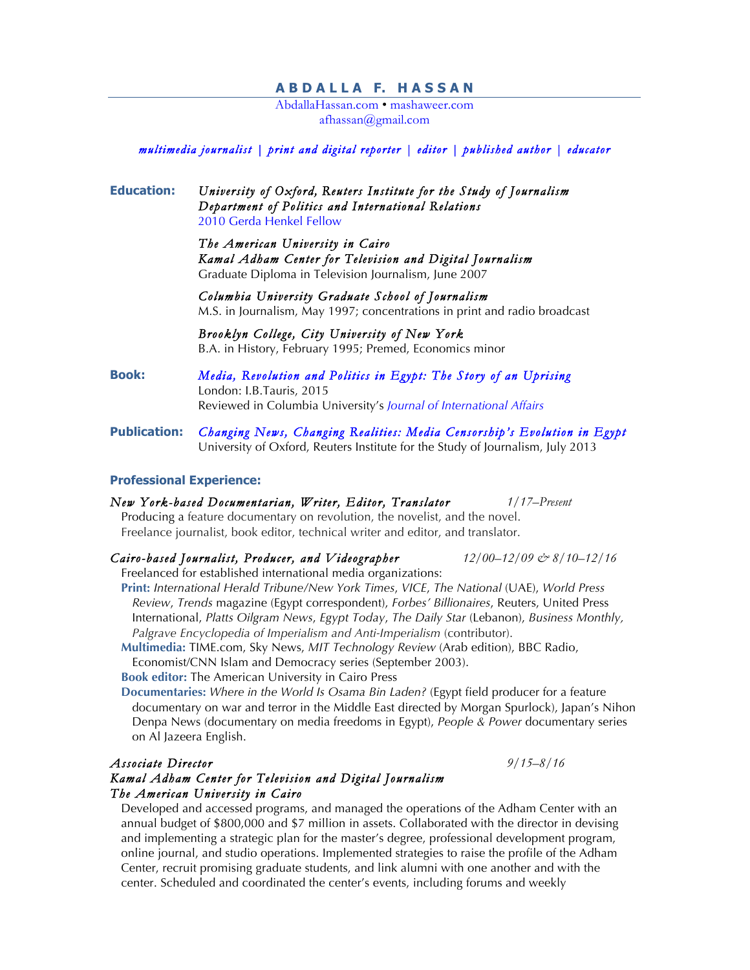### **A B D A L L A F. H A S S A N**

AbdallaHassan.com • mashaweer.com afhassan@gmail.com

#### *multimedia journalist | print and digital reporter | editor | published author | educator*

### **Education:** *University of Oxford, Reuters Institute for the Study of Journalism Department of Politics and International Relations* 2010 Gerda Henkel Fellow

*The American University in Cairo Kamal Adham Center for Television and Digital Journalism*  Graduate Diploma in Television Journalism, June 2007

*Columbia University Graduate School of Journalism* M.S. in Journalism, May 1997; concentrations in print and radio broadcast

*Brooklyn College, City University of New York*  B.A. in History, February 1995; Premed, Economics minor

**Book:** *Media, Revolution and Politics in Egypt: The Story of an Uprising* London: I.B.Tauris, 2015 Reviewed in Columbia University's *Journal of International Affairs*

**Publication:** *Changing News, Changing Realities: Media Censorship's Evolution in Egypt* University of Oxford, Reuters Institute for the Study of Journalism, July 2013

#### **Professional Experience:**

*New York-based Documentarian, Writer, Editor, Translator 1/17–Present* Producing a feature documentary on revolution, the novelist, and the novel. Freelance journalist, book editor, technical writer and editor, and translator.

#### *Cairo-based Journalist, Producer, and Videographer 12/00–12/09 & 8/10–12/16*

Freelanced for established international media organizations:

**Print:** *International Herald Tribune/New York Times*, *VICE*, *The National* (UAE), *World Press Review*, *Trends* magazine (Egypt correspondent), *Forbes' Billionaires*, Reuters, United Press International, *Platts Oilgram News*, *Egypt Today*, *The Daily Star* (Lebanon), *Business Monthly, Palgrave Encyclopedia of Imperialism and Anti-Imperialism* (contributor).

**Multimedia:** TIME.com, Sky News, *MIT Technology Review* (Arab edition), BBC Radio, Economist/CNN Islam and Democracy series (September 2003).

**Book editor:** The American University in Cairo Press

**Documentaries:** *Where in the World Is Osama Bin Laden?* (Egypt field producer for a feature documentary on war and terror in the Middle East directed by Morgan Spurlock), Japan's Nihon Denpa News (documentary on media freedoms in Egypt), *People & Power* documentary series on Al Jazeera English.

# *Associate Director 9/15–8/16*

#### *Kamal Adham Center for Television and Digital Journalism The American University in Cairo*

Developed and accessed programs, and managed the operations of the Adham Center with an annual budget of \$800,000 and \$7 million in assets. Collaborated with the director in devising and implementing a strategic plan for the master's degree, professional development program, online journal, and studio operations. Implemented strategies to raise the profile of the Adham Center, recruit promising graduate students, and link alumni with one another and with the center. Scheduled and coordinated the center's events, including forums and weekly